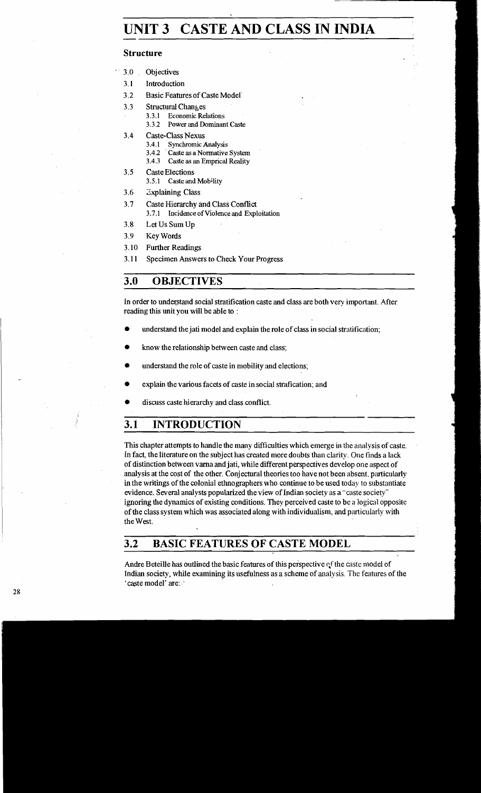# **UNIT 3 CASTE AND CLASS IN INDIA**  UNI'

#### **Structure**

- 3.0 Objectives
- 3.1 Introduction
- 3.2 Basic Features of Caste Model
- 3.3 Structural Changes
	- **3.3.1 Economic Relations** 
		- **3.3.2 Power and Dominant Caste**
- 3.4 Caste-Class Nexus
	- **3.4.1 Synchmic Analysis**
	- **3.4.2** Caste as a Normative System **3.4.3** Caste as an Emprical Reality
	- **3.4.3 Caste as an Emprical Reality**
- 3.5 Caste Elections
	- **3.5.1 Casteand Mobility**
- 3.6 Zxplaining Class
- 3.7 Caste Hierarchy and Class Conflict
	- **3.7.1 Incidence of Violence and Exploitation**
- 3.8 Let Us Sum Up
- 3.9 Key Words
- 3.10 Further Readings
- 3.11 Specimen Answers to Check Your Progress

## **3.0 OBJECTIVES**

In order to understand social stratification caste and class are both very important. After reading this unit you will be able to :

- understand the jati model and explain the role of class in social stratification:
- know the relationship between caste and class:
- understand the role of caste in mobility and elections;
- explain the various facets of caste in social strafication; and
- discuss caste hierarchy and class conflict.

## **3.1 INTRODUCTION**

This chapter attempts to handle the many difficulties which emerge in the analysis of caste. In fact, the literature on the subject has created more doubts than clarity One fnids a lack of distinction between varna and jati, while different perspectives develop one aspect of analysis at the cost of the other. Conjectural theories too have not been absent, particularly inthe writings of the colonial ethnographers who continue to be used today to substantiate evidence. Several analysts popularized theview of Indian society as a "caste society" ignoring the dynamics of existing conditions. They perceived caste to be a logical opposite of the class system which was associated along with individualism, and particularly with the West.

## **3.2 BASIC FEATURES OF CASTE MODEL**

Andre Beteille has outlined the basic features of this perspective of the caste model of Indian society, while examining its usefulness as a scheme of analysis. The features of the 'caste model' are: '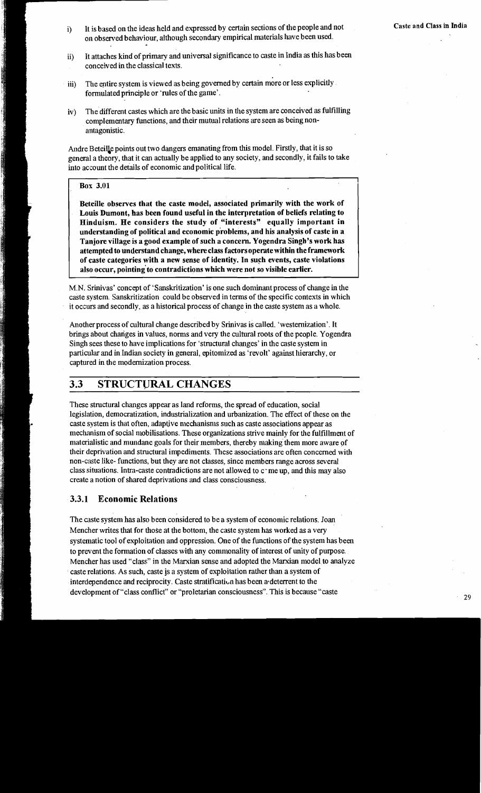- i) It is based on the ideas held and expressed by certain sections of the people and not **Casted and Class in India** on observed behaviour, although secondary empirical materials have been used.
- ii) It attaches kid of primary and universal significance to caste in India as this has been conceived in the classical texts.
- iii) The entire system is viewed as being governed by certain more or less explicitly formulated principle or 'rules of the game'.
- iv) The different castes which are the basic units in the system are conceived as fulfilling complementary functions, and their mutual relations are seen as being nonantagonistic

Andre Beteille points out two dangers emanating from this model. Firstly, that it is so general a theory, that it can actually be applied to any society, and secondly, it fails to take into account the details of economic and political life.

#### **Box 3.01**

**Beteille observes that the caste model, associated primarily with the work of Louis Dumont, has been found useful in the interpretation of beliefs relating to Hinduism. He considers the study of "interests" equally important in understanding of political and economic problems, and his analysis of caste in a**  Tanjore village is a good example of such a concern. Yogendra Singh's work has **attempted to understand change, where class factors operate within the framework of caste categories with a new sense of identity. In such events, caste violations also occur, pointing'to contradictions which were not so visible earlier.** 

M.N. Srinivas' concept of 'Sanskritization' is one such dominant process of change in the caste system Sanskritization could be observed in terms of the specific contexts in which it occurs and secondly, as a historical process of change in the caste system as a whole.

Another process of cultural change described by Srinivas is called. 'westernization'. It brings about changes in values, norms and very the cultural roots of the people. Yogendra Singh sees these to have implications for 'structural changes' in the caste system in particular and in Indian society in general, epitomized as 'revolt' against hierarchy, or captured in the modernization process.

## **3.3 STRUCTURAL CHANGES**

These structural changes appear as land reforms, the spread of education, social legislation, democratization, industrialization and urbanization. The effect of these on the caste system is that often, adaptive mechanisms such as caste associations appear as mechanism of social mobilisations. These organizations strive mainly for the fulfillment of materialistic and mundane goals for their members, thereby making them more aware of their deprivation and structural impediments. These associations are often concerned with non-caste like- functions, but they are not classes, since members range across several class situations. Intra-caste contradictions are not allowed to c-me up, and this may also create a notion of shared deprivations and class consciousness.

#### **3.3.1 Economic Relations**

The caste system has also been considered to be a system of economic relations. Joan Mencher writes that for those at the bottom, the caste system has worked as a very systematic tool of exploitation and oppression. One of the functions of the system has been to prevent the formation of classes with any commonality of interest of unity of purpose Mencher has used "class" in the Marxian sense and adopted the Marxian model to analyze caste relations. As such, caste js a system of exploitation rather than a system of interdependence and reciprocity. Caste stratification has been a deterrent to the development of "class conflict" or "proletarian consciousness". This is because "caste **29 29**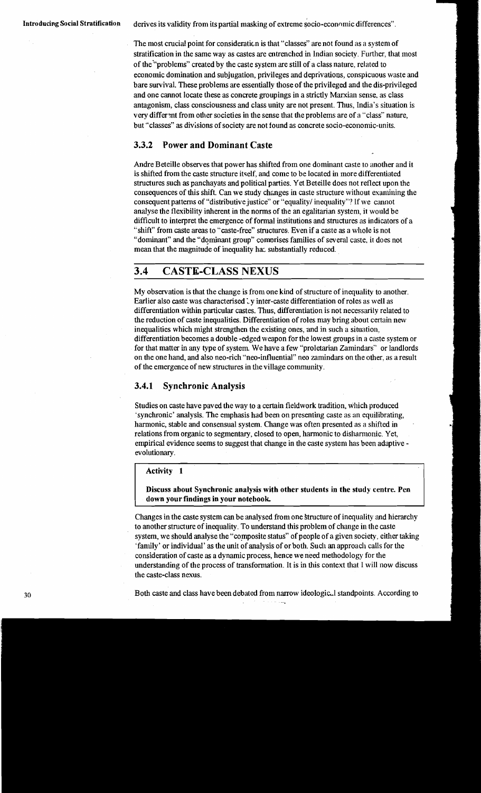**Introducing Social Stratification** derives its validity from its partial masking of extreme socio-economic differences".

The most crucial point for consideraticn is that "classes" are not found as a system of stratification in the same way as castes are entrenched in Indian society. Further, that most of the "problems" created by the caste system are still of a class nature, related to economic domination and subjugation, privileges and deprivations, conspicuous waste and bare survival. These problems are essentially those of the privileged and the dis-privileged and one cannot locate these as concrete groupings in a strictly Marxian sense, as class antagonism, class consciousness and class unity are not present. Thus. India's situation is very different from other societies in the sense that the problems are of a "class" nature, but "classes" as divisions of society are not found as concrete socio-economic-units.

#### **3.3.2 Power and Dominant Caste**

Andre Beteille observes that power has shifted from one dominant caste to another and it is shifted from the caste structure itself, and come to be located in more differentiated structures such as panchayats and political parties. Yet Beteille does not reflect upon the consequences of this shift. Can we study changes in caste structure without examining the consequent patterns of "distributive justice" or "equality' inequality"? If we cannot analyse the flexibility inherent in the norms of the an egalitarian system, it would be difficult to interpret the emergence of fomnl institutions and structures as indicators of a "shift" from caste areas to "caste-free" structures. Even if a caste as a whole is not "dominant" and the "dominant group" comprises families of several caste, it does not mean that the magnitude of inequality has substantially reduced.

## **3.4 CASTE-CLASS NEXUS**

My observation is that the change is from one kind of structure of inequality to another. Earlier also caste was characterised  $\cup$  y inter-caste differentiation of roles as well as differentiation within particular castes. Thus, differentiation is not necessarily related to the reduction of caste inequalities. Differentiation of roles may bring about certain new inequalities which might strengthen the existing ones, and in such a situation, differentiation becomes a double -edged weapon for the lowest groups in a caste system or for that matter in any type of system. We have a few "proletarian Zamindars" or landlords on the one hand, and also neo-rich "neo-influential" neo zamindars on the other, as a result of the emergence of new structures in the village community.

#### **3.4.1 Synchronic Analysis**

Studies on caste have paved the way to a certain fieldwork tradition, which produced 'synchronic' analysis. The emphasis had been on presenting caste as **an** equilibrating, harmonic, stable and consensual system. Change was often presented as a shifted in relations from organic to segmentary, closed to open, harmonic to disharmonic. Yet, empirical evidence seems to suggest that change in the caste system has been adaptive evolutionary.

#### **Activity 1**

**Discuss about Synchronic analysis with other students in the study centre. Pen down your findings in your notebook** 

Changes in the caste system can be analysed from one Structure of inequality and hierarchy to another structure of inequality. To understand this problem of change in the caste system, we should analyse the "composite status" of people of a given society, either taking 'family' or individual' as the unit of analysis of or both. Such an approach calls for the consideration of caste as a dynamic process, hence we need methodology for the understanding of the process of transformation. It is in this context that I will now discuss the caste-class nexus.

**<sup>30</sup>**Both caste and class have been debated from narrow ideologic,l standpoints. According to - \*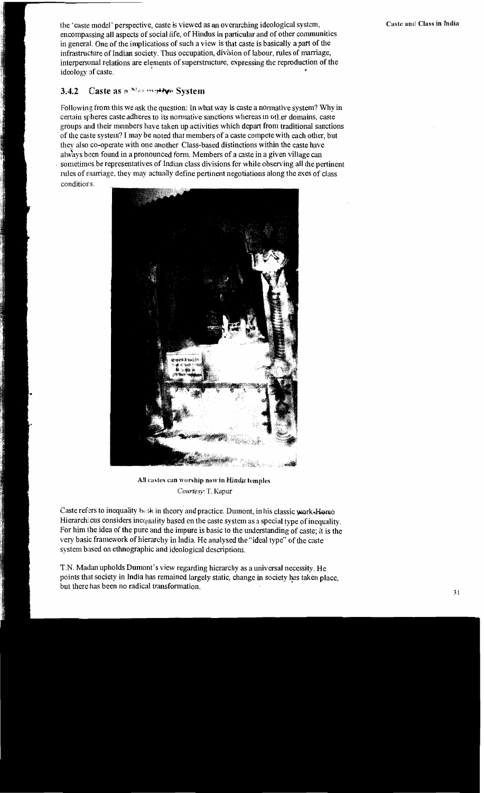the 'caste model' perspective, caste is viewed as an overarching ideological system, encompassing all aspects of social life, of Hindus in particular and of other communities in general. One of the inplications of such a view is that caste is basically a part of the infrastructure of Indian society. Thus occupation, division of labour, rules of marriage, interpersonal relations are elements of superstructure, expressing the reproduction of the ideology of caste.

## **3.4.2** Caste as a Normative System

Following from this we ask the question: In what way is caste a normative system? Why in certain spheres caste adheres to its normative sanctions whereas in other domains, caste groups arid their members have taken up activities which depart from traditional sanctions of the caste system'? I may be noted that members of a caste compete with each other, but they also co-operate with one another. Class-based distinctions within the caste have always been found in a pronounced form. Members of a caste in a given village can sometimes be representatives of Indian class divisions for while observing all the pertinent rules of nlarriage, they may actually define pertinent negotiations along the axes of class conditions.



All castes can worship now in Hindu temples Courtesy: T. Kapur

Caste refers to inequality both in theory and practice. Dumont, in his classic work-Homo Hierarchicus considers inequality based on the caste system as a special type of inequality. For him the idea of the pure and the impure is basic to the understanding of caste; it is the very basic framework of hierarchy in India. He analysed the "ideal type" of the caste system based on ethnographic and ideological descriptions.

T.N. Madan upholds Dumont's view regarding hierarchy as a universal necessity. He points that society in India has remained largely static, change in society has taken place, but there has been no radical transformation.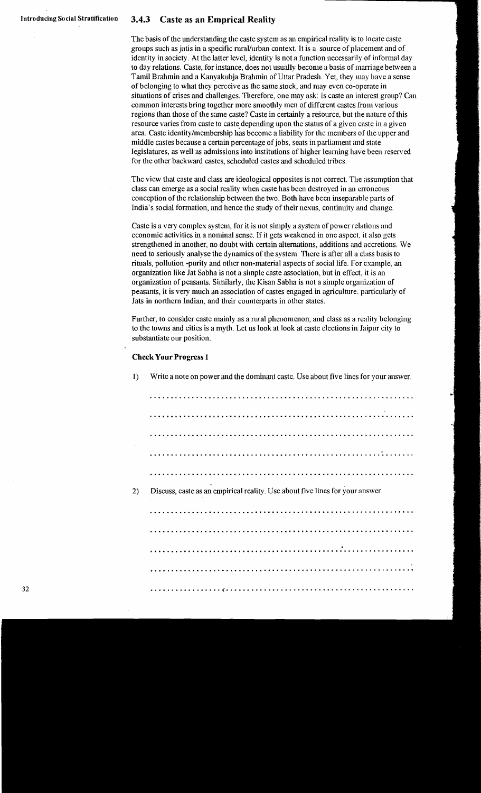#### **Caste as an Emprical Reality**  $3.4.3$

The basis of the understanding the caste system as an empirical reality is to locate caste groups such as jatis in a specific rurallurban context. It is a source of placement and of identity in society. At the latter level, identity is not a function necessarily of informal day to day relations. Caste, for instance, does not usually become a basis of marriage between a Tamil Brahmin and a Kanyakubja Brahmin of Uttar Pradesh. Yet. they inay have a sense of belonging to what they perceive as the same stock, and may even co-operate in situations of crises and challenges. Therefore, one may ask: Is caste **an** interest group'? Can common interests bring together more smoothly men of different castes from various regions than those of the same caste'? Caste in certainly a resource, but the nature of this resource varies from caste to caste depending upon the status of a given caste in a given **area.** Caste identitylmembership has become a liability for thc ineinbers of the upper and middle castes because a certain percentage of jobs, seats in parliament and state legislatures, as well as admissions into institutions of higher learning have been reserved for the other backward castes, scheduled castes and scheduled tribes.

The view that caste and class are ideological opposites is not correct. The assumption that class can emerge as a social reality when caste has been destroyed in **an** erroneous conception of the relationship between the two. Both have been inseparable parts of India's social formation, and hence the study of their nexus, continuity and change.

Caste is a very complex system, for it is not simply a system of power relations and economic activities in a nominal sense. If it gets weakened in one aspect, it also gets strengthened in another, no doubt with certain alternations, additions and accretions. We need to seriously analyse the dynamics of the system. There is after all a class basis to rituals, pollution -purity and other non-material aspects of social life. For example, an organization like Jat Sabha is not a siinple caste association, but in effect, it is an organization of peasants. Similarly, the Kisan Sabha is not a simple organization of peasants, it is very nluch an association of castes engaged in agriculture. particularly of Jats in northern Indian, and their counterparts in other states.

Further, to consider caste mainly as a rural phenomenon, and class as a reality belonging to the towns and cities is a myth. Let us look at look at caste elections in Jaipur city to substantiate our position.

#### **Check Your Progress 1**

1) Write a note on power and the dominant caste. Use about five lincs for your answer.

............................................................... ............................................................... ............................................................... ............................................................... ............................................................... 2) Discuss, caste as an empirical reality. Use about five lines for your answer. ............................................................... ............................................................... ...............................................................

...............................................................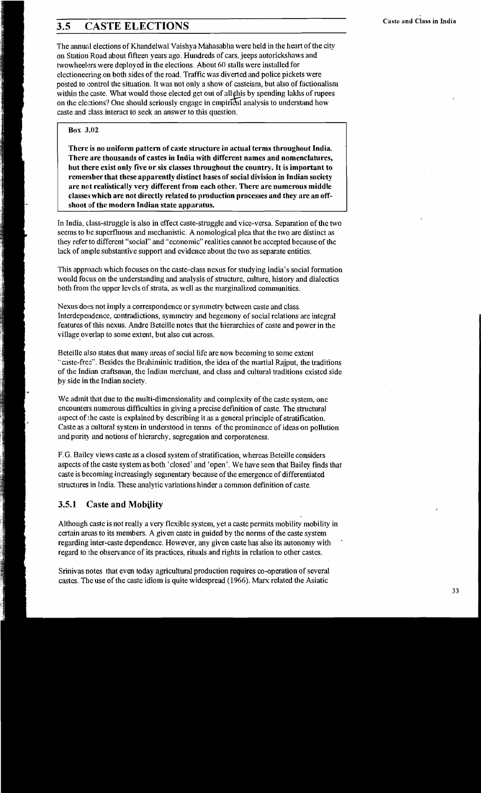# **2.5 CASTE ELECTIONS** Caste and Class in India

The annual elections of Khandelwal Vaishya Mahasabha were held in the heart of the city on Station Road about fifteen years ago. Hundreds of cars, jeeps autorickshaws and twowheelers were deployed in the elections. About 60 stalls were installed for electioneering on both sides of the road. Traffic was diverted and police pickets were posted to control the situation. It was not only a show of casteism, but also of factionalism within the caste. What would those elected get out of all this by spending lakhs of rupees on the elections? One should seriously engage in empirical analysis to understand how caste and class interact to seek an answer to this question.

#### **Box 3.02**

There is no uniform pattern of caste structure in actual terms throughout India. There are thousands of castes in India with different names and nomenclatures, **but there exist only five or six classes throughout the country. It is important to**  remember that these apparently distinct bases of social division in Indian society **;ire not realistically very different from each other. There are numerous middle**  classes which are not directly related to production processes and they are an off**shoot of the modern Indian state apparatus.** 

In India, class-struggle is also in effect caste-struggle and vice-versa. Separation of the two seems to he superfluous and mechanistic. A nomological plea that the two are distinct as they refer to different "social" and "economic" realities cannot be accepted because of the lack of ample substantive support and evidence about the two as separate entities.

This approach which focuses on the caste-class nexus for studying India's social formation would focus on the understanding and analysis of structure, culture, history and dialectics both from the upper levels of strata, as well as the marginalized communities.

Nexus does not imply a correspondence or symmetry between caste and class. Interdependence, contradictions, symmetry and hegemony of social relations are integral features of this nexus. Andre Beteille notes that the hierarchies of caste and power in the village overlap to some extent, but also cut across.

Beteille also states that many areas of social life are now becoming to some extent "caste-free". Besides the Brahiminic tradition, the idea of the martial Rajput, the traditions of the Indian craftsman, the Indian merchant, and class and cultural traditions existed side by side in the Indian society.

We admit that due to the multi-dimensionality and complexity of the caste system, one encounters numerous difficulties in giving a precise definition of caste. The stnictural aspect of ihe caste is explained by describing it as a general principle of stratification. Caste as a cultural system in understood in tenns of the prominence of ideas on pollution and purity and notions of hierarchy, segregation and corporateness.

F.G. Bailey views caste as a closed system of stratification, whereas Beteille considers aspects of the caste system as both 'closed' and 'open'. We have seen that Bailey finds that caste is becoming increasingly seginentary because of the emergence of differentiated structures in India. These analytic variations hinder a common definition of caste.

## **3.5.1 Caste and Mobility**

Although caste is not really a very flexible system, yet a caste permits mobility mobility in certain areas to its members. A given caste in guided by the norms of the caste system regarding inter-caste dependence. However, any given caste has also its autonomy with ' regard to the observance of its practices, rituals and rights in relation to other castes.

Srinivas notes that even today agricultural production requires co-operation of several castes. The use of the caste idiom is quite widespread (1966). Marx related the Asiatic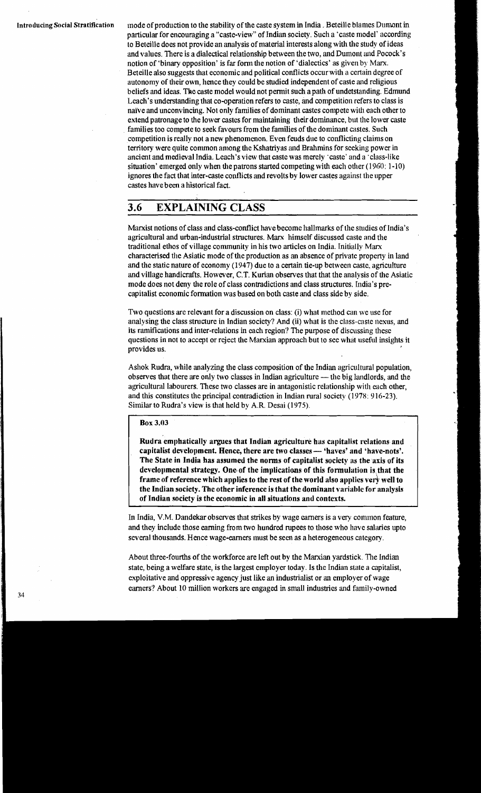**Introducing Social Stratification** inode of production to the stability of the caste system in India. Beteille blames Dunmnt in particular for encouraging a "caste-view" of Indian society. Such a 'caste model' according to Beteille does not provide an analysis of material interests along with the study of ideas and values. There is a dialectical relationship between the two, and Dumont and Pocock's notion of 'binary opposition' is far form the notion of 'dialectics' as given by Marx. Beteille also suggests that economic and political conflicts occur with a certain degree of autonomy of their own, hence they could be studied independent of caste and religious beliefs and ideas. **The** caste model would not pennit such apath of undetstanding. Edmund Leach's understanding that co-operation refers to caste, and competition refers to class is naïve and unconvincing. Not only families of dominant castes compete with each other to extend patronage to the lower castes for maintaining their dominance, but the lower caste families too compete to seek favours from the families of the dominant castes. Such competition is really not a new phenomenon. Even feuds due to conflicting claims on territory were quite common among the Kshatriyas and Brahmins for seeking power in ancient and medieval India. Leach's view that caste was merely 'caste' and a 'class-like situation' emerged only when the patrons started competing with each other (1960: 1-10) ignores the fact that inter-caste conflicts and revolts by lower castes against the upper castes have been a h'istorical fact.

## **3.6 EXPLAINING CLASS**

Marxist notions of class and class-conflict have become hallmarks of the studies of India's agricultural and urban-industrial structures. Marx himself discussed caste and the traditional ethos of village community in his two articles on India. Initially Man characterised the Asiatic mode of the production as an absence of private property in land and the static nature of economy (1947) due to a certain tie-up between caste, agriculture and village handicrafts. However, C.T. Kurian observes that that the analysis of the Asiatic mode does not deny the role of class contradictions and class structures. India's precapitalist economic formation was based on both caste and class side by side.

Two questions are relevant for a discussion on class: (i) what method can we use for analysing the class structure in Indian society? And (ii) what is the class-caste nexus, and its ramifications and inter-relations in each region'? The purpose of discussing these questions in not to accept or reject the Marxian approach but to see what useful insights it provides us.

Ashok Rudra, while analyzing the class composition of the Indian agricultural population, observes that there are only two classes in Indian agriculture  $-$  the big landlords, and the agricultural labourers. These two classes are in antagonistic relationship with each other, and this constitutes the principal contradiction in Indian rural society (1978: 916-23). Similar to Rudra's view is that held by A.R. Desai (1975).

#### **Box 3.03**

**Rudra emphatically argues that Indian agriculture has capitalist relations and**  capitalist development. Hence, there are two classes — 'haves' and 'have-nots'. **The State in India has assumed the norms of capitalist society as the axis of its developmental strategy. One.of the implications of this formulation is that the**  frame of reference which applies to the rest of the world also applies very well to **the Indian society. The other inference is that the dominant variable for analysis of Indian society is the economic in all situations and contexts.** 

In India, V.M. Dandekar observes that strikes by wage earners is a very common feature, and they include those earning from two hundred rupees **to** those who have salaries upto several thousands. Hence wage-earners inust be seen as a heterogeneous category.

About three-fourths of the workforce are left out by the Marxian yardstick. The Indian state, being a welfare state, is the largest employer today. Is the Indian slate a capitalist, exploitative and oppressive agency just like an industrialist or an employer of wage earners'? About 10 million workers are engaged in small industries and family-owned 34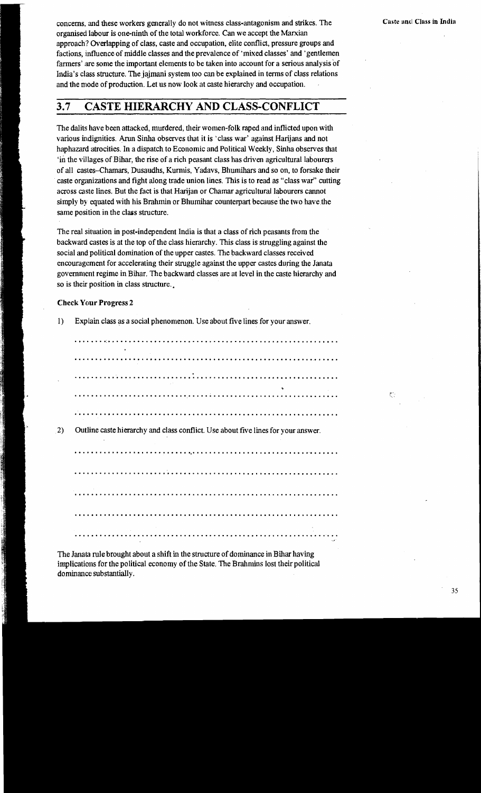ζŀ.

concerns, and these workers generally do not witness class-antagonism and strikes. The organised labour is one-ninth of the total workforce. Can we accept the Marxian approach? Overlapping of class, caste and occupation, elite conflict, pressure groups and factions, influence of middle classes and the prevalence of 'mixed classes' and 'gentlemen farmers' are some the important elements to be taken into account for a serious analysis of India's class structure. The jaimani system too can be explained in terms of class relations and the mode of production. Let us now look at caste hierarchy and occupation.

#### **CASTE HIERARCHY AND CLASS-CONFLICT**  $3.7$

The dalits have been attacked, murdered, their women-folk raped and inflicted upon with various indignities. Arun Sinha observes that it is 'class war' against Harijans and not haphazard atrocities. In a dispatch to Economic and Political Weekly, Sinha observes that in the villages of Bihar, the rise of a rich peasant class has driven agricultural labourers of all castes-Chamars, Dusaudhs, Kurmis, Yadavs, Bhumihars and so on, to forsake their caste organizations and fight along trade union lines. This is to read as "class war" cutting across caste lines. But the fact is that Harijan or Chamar agricultural labourers cannot simply by equated with his Brahmin or Bhumihar counterpart because the two have the same position in the class structure.

The real situation in post-independent India is that a class of rich peasants from the backward castes is at the top of the class hierarchy. This class is struggling against the social and political domination of the upper castes. The backward classes received encouragement for accelerating their struggle against the upper castes during the Janata government regime in Bihar. The backward classes are at level in the caste hierarchy and so is their position in class structure.

Explain class as a social phenomenon. Use about five lines for your answer.

#### **Check Your Progress 2**

 $\bf{1}$ 

|  |  |  |  |  |  |  |  |  |  |  |  |  |  |  |  |  |  |  |  |  |  | Outline caste hierarchy and class conflict. Use about five lines for your answer. |  |  |  |  |  |  |  |
|--|--|--|--|--|--|--|--|--|--|--|--|--|--|--|--|--|--|--|--|--|--|-----------------------------------------------------------------------------------|--|--|--|--|--|--|--|
|  |  |  |  |  |  |  |  |  |  |  |  |  |  |  |  |  |  |  |  |  |  |                                                                                   |  |  |  |  |  |  |  |
|  |  |  |  |  |  |  |  |  |  |  |  |  |  |  |  |  |  |  |  |  |  |                                                                                   |  |  |  |  |  |  |  |
|  |  |  |  |  |  |  |  |  |  |  |  |  |  |  |  |  |  |  |  |  |  |                                                                                   |  |  |  |  |  |  |  |
|  |  |  |  |  |  |  |  |  |  |  |  |  |  |  |  |  |  |  |  |  |  |                                                                                   |  |  |  |  |  |  |  |
|  |  |  |  |  |  |  |  |  |  |  |  |  |  |  |  |  |  |  |  |  |  |                                                                                   |  |  |  |  |  |  |  |
|  |  |  |  |  |  |  |  |  |  |  |  |  |  |  |  |  |  |  |  |  |  |                                                                                   |  |  |  |  |  |  |  |

The Janata rule brought about a shift in the structure of dominance in Bihar having implications for the political economy of the State. The Brahmins lost their political dominance substantially.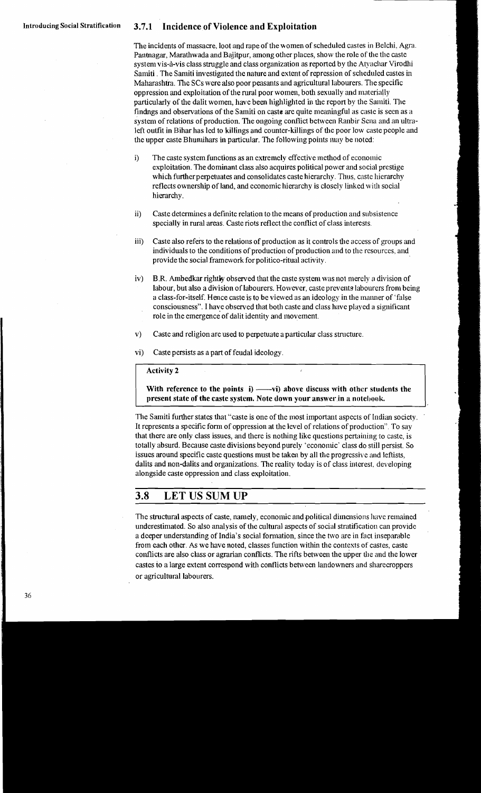## Introducing Social Stratification **3.7.1 Incidence of Violence and Exploitation**

The incidents of massacre. loot and rape of the women of scheduled castes in Belchi, Agra. Pantnagar, Marathwada and Bajitpur, among other places, show the role of the the caste system vis-à-vis class struggle and class organization as reported by the Atyachar Virodhi Samiti . The Samiti investigated the nature and extent of repression of scheduled castes in Maharashtra. The SCs were also poor peasants and agricultural labourers. The specific oppression and exploitation of the rural poor women, both sexually and materially particularly of the dalit women, have been highlighted in the report by the Samiti. The findngs and observations of the Samiti on caste are quite meaningful as caste is seen as a system of relations of production. The ongoing conflict between Ranbir Sena and an ultraleft oulfit in Bihar has led to killings and counter-killings of the poor low caste people and the upper caste Bhumihars in particular. The following points may be noted:

- The caste system functions as an extremely effective method of economic  $i)$ exploitation. The dominant class also acquires political power and social prestige which further perpetuates and consolidates caste hierarchy. Thus, caste hierarchy reflects ownership of land, and economic hierarchy is closely linked with social hierarchy.
- Caste determines a definite relation to the means of production and subsistence  $ii)$ specially in rural areas. Caste riots reflect the conflict of class interests.
- Caste also refers to the relations of production as it controls the access of groups and iii) individuals to the conditions of production of production and to the resources, and provide the social framework for politico-ritual activity.
- B.R. Ambedkar rightly observed that the caste system was not merely a division of  $iv)$ labour, but also a division of labourers. However, caste prevents labourers from being a class-for-itself. Hence caste is to be viewed as an ideology in the manner of 'false consciousness". I have observed that both caste and class have played a significant role in the emergence of dalit identity and movement.
- $\mathbf{v}$ Caste and religion are used to perpetuate a particular class structure.
- $\mathbf{v}$ i) Caste persists as a part of feudal ideology.

#### **Activity 2**

**With reference to the points i) ——vi) above discuss with other students the present state of the caste system. Note down-your answer in a notebook.** 

The Samiti further states that "caste is one of the most important aspects of Indian society. It represents a specific form of oppression at the level of relations of production". To say that there are only class issues, and there is nothing like questions pertaining to caste, is totally absurd. Because caste divisions beyond purely 'economic' class do still persist. So issues around specific caste questions must be taken by all the progressive and leftists, dalits and non-dalits and organizations. The reality today is of class interest, developing alongside caste oppression and class exploitation.

#### 3.8 **LET US SUM UP**

The structural aspects of caste, namely, economic and political dimensions have remained underestimated. So also analysis of the cultural aspects of social stratification can provide a deeper understanding of India's social formation, since the two are in fact inseparable from each other. As we have noted, classes function within the contexts of castes, caste conflicts are also class or agrarian conflicts. The rifts between the upper the and the lower castes to a large extent correspond with conflicts between landowners and sharecroppers or agricultural labourers.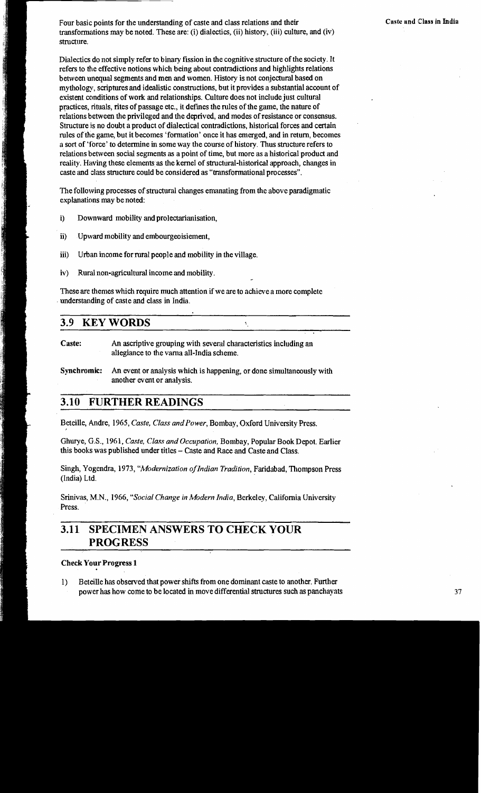Four basic points for the understanding of caste and class relations and their **Four Caste and Class in India** transformations may be noted. These are: (i) dialectics, (ii) history, (iii) culture, and (iv) structure.

Dialectics do not simply refer to binary fission in the cognitive structure of the society. It refers to the effective notions which being about contradictions and highlights relations between unequal segments and men and women. History is not conjectural based on mythology, scriptures and idealistic constructions, but it provides a substantial account of existent conditions of work and relationships. Culture does not include just cultural practices, rituals, rites of passage etc., it defines the rules of the game, the nature of relations between the privileged and the deprived, and modes of resistance or consensus. Structure is no doubt a product of dialectical contradictions, historical forces and certain rules of the game, but it becomes 'formation' once it has emerged, and in return, becomes a sort of 'force' to determine in some way the course of history. Thus structure refers to relations between social segments as apoint of time, but more as a historical product and reality. Having these elements as the kernel of structural-historical approach, changes in caste and class structure could be considered as "transformational processes".

The following processes of structural changes emanating from the above paradigmatic explanations may be noted:

- i) Downward mobility and prolectarianisation,
- **ii)** Upward mobility and embourgeoisiement,
- iii) Urban income for rural people and mobility in the village.
- $iv)$  Rural non-agricultural income and mobility.

These are themes which require much attention if we are to achieve a more complete understanding of caste and class in India.

 $\tilde{\mathbf{v}}$ 

## **3.9 KEYWORDS**

Caste: An ascriptive grouping with several characteristics including an allegiance to the varna all-India scheme.

**Synchromic:** An event or analysis which is happening, or done simultaneously with another event or analysis.

## **3.10 FURTHER READINGS**

Beteille, Andre, 1965, *Caste, Class and Power,* Bombay, Oxford University Press.

Ghurye, G.S., 1961, *Caste, Class and Occupation,* Bombay, Popular Book Depot. Earlier this books was published under titles - Caste and Race and Caste and Class.

Singh, Yogendra, 1973, "Modernization of Indian Tradition, Faridabad, Thompson Press (India) Ltd.

Srinivas, M.N., 1966, *"Soc~al Change* in *Modern India,* Berkeley, California University Press.

# **3.11 SPECIMEN ANSWERS TO CHECK YOUR PROGRESS**

## **Check Your Progress 1**

**1)** Beteille has observed that power shifts from one dominant caste to another. Further power has how come to be located in move differential structures such **as** panchayats **37**